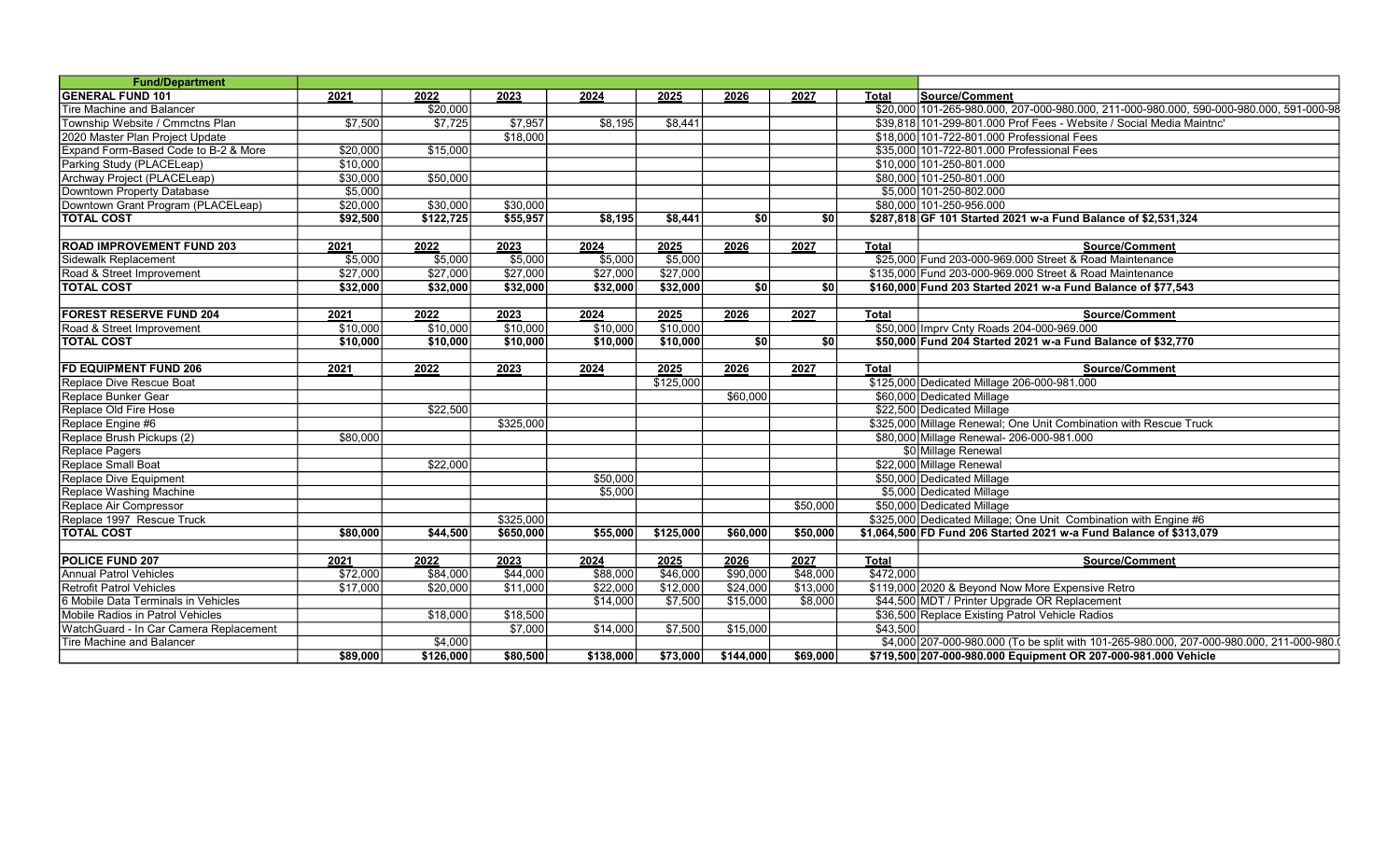| <b>Fund/Department</b>                 |          |           |           |           |           |                              |             |              |                                                                                          |
|----------------------------------------|----------|-----------|-----------|-----------|-----------|------------------------------|-------------|--------------|------------------------------------------------------------------------------------------|
| <b>GENERAL FUND 101</b>                | 2021     | 2022      | 2023      | 2024      | 2025      | 2026                         | 2027        | <b>Total</b> | Source/Comment                                                                           |
| Tire Machine and Balancer              |          | \$20.000  |           |           |           |                              |             |              | \$20,000 101-265-980.000, 207-000-980.000, 211-000-980.000, 590-000-980.000, 591-000-98  |
| Township Website / Cmmctns Plan        | \$7.500  | \$7.725   | \$7.957   | \$8.195   | \$8.441   |                              |             |              | \$39.818 101-299-801.000 Prof Fees - Website / Social Media Maintnc'                     |
| 2020 Master Plan Project Update        |          |           | \$18,000  |           |           |                              |             |              | \$18,000 101-722-801,000 Professional Fees                                               |
| Expand Form-Based Code to B-2 & More   | \$20,000 | \$15.000  |           |           |           |                              |             |              | \$35,000 101-722-801,000 Professional Fees                                               |
| Parking Study (PLACELeap)              | \$10,000 |           |           |           |           |                              |             |              | \$10,000 101-250-801.000                                                                 |
| Archway Project (PLACELeap)            | \$30,000 | \$50.000  |           |           |           |                              |             |              | \$80,000 101-250-801.000                                                                 |
| Downtown Property Database             | \$5,000  |           |           |           |           |                              |             |              | \$5,000 101-250-802.000                                                                  |
| Downtown Grant Program (PLACELeap)     | \$20,000 | \$30,000  | \$30,000  |           |           |                              |             |              | \$80,000 101-250-956.000                                                                 |
| <b>TOTAL COST</b>                      | \$92,500 | \$122,725 | \$55,957  | \$8,195   | \$8,441   | \$0                          | <b>\$01</b> |              | \$287,818 GF 101 Started 2021 w-a Fund Balance of \$2,531,324                            |
|                                        |          |           |           |           |           |                              |             |              |                                                                                          |
| <b>ROAD IMPROVEMENT FUND 203</b>       | 2021     | 2022      | 2023      | 2024      | 2025      | 2026                         | 2027        | <b>Total</b> | <b>Source/Comment</b>                                                                    |
| Sidewalk Replacement                   | \$5,000  | \$5.000   | \$5,000   | \$5,000   | \$5,000   |                              |             |              | \$25,000 Fund 203-000-969.000 Street & Road Maintenance                                  |
| Road & Street Improvement              | \$27,000 | \$27,000  | \$27,000  | \$27,000  | \$27,000  |                              |             |              | \$135,000 Fund 203-000-969.000 Street & Road Maintenance                                 |
| <b>TOTAL COST</b>                      | \$32,000 | \$32,000  | \$32,000  | \$32,000  | \$32,000  | $\overline{\boldsymbol{50}}$ | \$0         |              | \$160,000 Fund 203 Started 2021 w-a Fund Balance of \$77,543                             |
|                                        |          |           |           |           |           |                              |             |              |                                                                                          |
| <b>FOREST RESERVE FUND 204</b>         | 2021     | 2022      | 2023      | 2024      | 2025      | 2026                         | 2027        | <b>Total</b> | <b>Source/Comment</b>                                                                    |
| Road & Street Improvement              | \$10,000 | \$10,000  | \$10,000  | \$10,000  | \$10,000  |                              |             |              | \$50,000 Imprv Cnty Roads 204-000-969.000                                                |
| <b>TOTAL COST</b>                      | \$10,000 | \$10,000  | \$10,000  | \$10,000  | \$10,000  | \$0                          | \$0         |              | \$50,000 Fund 204 Started 2021 w-a Fund Balance of \$32,770                              |
|                                        |          |           |           |           |           |                              |             |              |                                                                                          |
| <b>FD EQUIPMENT FUND 206</b>           | 2021     | 2022      | 2023      | 2024      | 2025      | 2026                         | 2027        | <b>Total</b> | <b>Source/Comment</b>                                                                    |
| Replace Dive Rescue Boat               |          |           |           |           | \$125,000 |                              |             |              | \$125,000 Dedicated Millage 206-000-981.000                                              |
| Replace Bunker Gear                    |          |           |           |           |           | \$60,000                     |             |              | \$60,000 Dedicated Millage                                                               |
| Replace Old Fire Hose                  |          | \$22,500  |           |           |           |                              |             |              | \$22,500 Dedicated Millage                                                               |
| Replace Engine #6                      |          |           | \$325,000 |           |           |                              |             |              | \$325,000 Millage Renewal; One Unit Combination with Rescue Truck                        |
| Replace Brush Pickups (2)              | \$80,000 |           |           |           |           |                              |             |              | \$80,000 Millage Renewal- 206-000-981.000                                                |
| Replace Pagers                         |          |           |           |           |           |                              |             |              | \$0 Millage Renewal                                                                      |
| Replace Small Boat                     |          | \$22,000  |           |           |           |                              |             |              | \$22,000 Millage Renewal                                                                 |
| Replace Dive Equipment                 |          |           |           | \$50,000  |           |                              |             |              | \$50,000 Dedicated Millage                                                               |
| Replace Washing Machine                |          |           |           | \$5,000   |           |                              |             |              | \$5,000 Dedicated Millage                                                                |
| Replace Air Compressor                 |          |           |           |           |           |                              | \$50,000    |              | \$50,000 Dedicated Millage                                                               |
| Replace 1997 Rescue Truck              |          |           | \$325,000 |           |           |                              |             |              | \$325,000 Dedicated Millage; One Unit Combination with Engine #6                         |
| <b>TOTAL COST</b>                      | \$80,000 | \$44,500  | \$650,000 | \$55,000  | \$125,000 | \$60,000                     | \$50,000    |              | \$1,064,500 FD Fund 206 Started 2021 w-a Fund Balance of \$313,079                       |
| POLICE FUND 207                        | 2021     | 2022      | 2023      | 2024      | 2025      | 2026                         | 2027        | <b>Total</b> | <b>Source/Comment</b>                                                                    |
| <b>Annual Patrol Vehicles</b>          | \$72,000 | \$84,000  | \$44,000  | \$88,000  | \$46,000  | \$90,000                     | \$48,000    | \$472,000    |                                                                                          |
| Retrofit Patrol Vehicles               | \$17.000 | \$20,000  | \$11.000  | \$22,000  | \$12,000  | \$24,000                     | \$13,000    |              | \$119,000 2020 & Bevond Now More Expensive Retro                                         |
| 6 Mobile Data Terminals in Vehicles    |          |           |           | \$14,000  | \$7,500   | \$15,000                     | \$8,000     |              | \$44,500 MDT / Printer Upgrade OR Replacement                                            |
| Mobile Radios in Patrol Vehicles       |          | \$18,000  | \$18,500  |           |           |                              |             |              | \$36,500 Replace Existing Patrol Vehicle Radios                                          |
| WatchGuard - In Car Camera Replacement |          |           | \$7,000   | \$14,000  | \$7,500   | \$15,000                     |             | \$43.500     |                                                                                          |
| Tire Machine and Balancer              |          | \$4.000   |           |           |           |                              |             |              | \$4,000 207-000-980.000 (To be split with 101-265-980.000, 207-000-980.000, 211-000-980. |
|                                        | \$89,000 | \$126,000 | \$80.500  | \$138,000 | \$73,000  | \$144,000                    | \$69,000    |              | \$719,500 207-000-980.000 Equipment OR 207-000-981.000 Vehicle                           |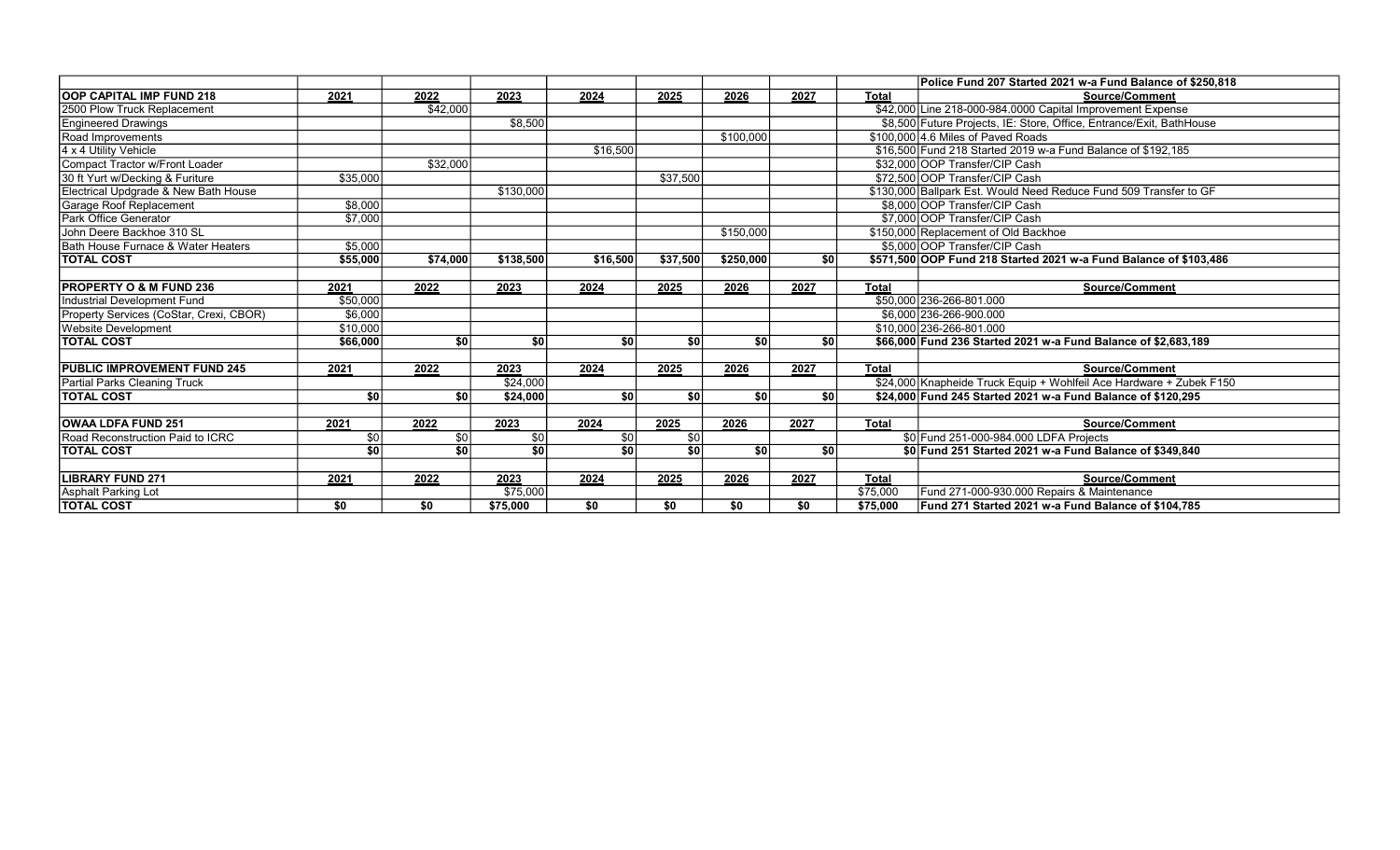|                                         |          |          |                 |                 |          |           |                  |              | Police Fund 207 Started 2021 w-a Fund Balance of \$250.818           |
|-----------------------------------------|----------|----------|-----------------|-----------------|----------|-----------|------------------|--------------|----------------------------------------------------------------------|
| <b>OOP CAPITAL IMP FUND 218</b>         | 2021     | 2022     | 2023            | 2024            | 2025     | 2026      | 2027             | <b>Total</b> | Source/Comment                                                       |
| 2500 Plow Truck Replacement             |          | \$42,000 |                 |                 |          |           |                  |              | \$42,000 Line 218-000-984.0000 Capital Improvement Expense           |
| <b>Engineered Drawings</b>              |          |          | \$8,500         |                 |          |           |                  |              | \$8,500 Future Projects, IE: Store, Office, Entrance/Exit, BathHouse |
| Road Improvements                       |          |          |                 |                 |          | \$100,000 |                  |              | \$100,000 4.6 Miles of Paved Roads                                   |
| 4 x 4 Utility Vehicle                   |          |          |                 | \$16,500        |          |           |                  |              | \$16,500 Fund 218 Started 2019 w-a Fund Balance of \$192,185         |
| Compact Tractor w/Front Loader          |          | \$32,000 |                 |                 |          |           |                  |              | \$32,000 OOP Transfer/CIP Cash                                       |
| 30 ft Yurt w/Decking & Furiture         | \$35,000 |          |                 |                 | \$37,500 |           |                  |              | \$72,500 OOP Transfer/CIP Cash                                       |
| Electrical Updgrade & New Bath House    |          |          | \$130,000       |                 |          |           |                  |              | \$130,000 Ballpark Est. Would Need Reduce Fund 509 Transfer to GF    |
| Garage Roof Replacement                 | \$8,000  |          |                 |                 |          |           |                  |              | \$8,000 OOP Transfer/CIP Cash                                        |
| Park Office Generator                   | \$7,000  |          |                 |                 |          |           |                  |              | \$7,000 OOP Transfer/CIP Cash                                        |
| John Deere Backhoe 310 SL               |          |          |                 |                 |          | \$150,000 |                  |              | \$150,000 Replacement of Old Backhoe                                 |
| Bath House Furnace & Water Heaters      | \$5,000  |          |                 |                 |          |           |                  |              | \$5,000 OOP Transfer/CIP Cash                                        |
| <b>TOTAL COST</b>                       | \$55,000 | \$74,000 | \$138,500       | \$16,500        | \$37,500 | \$250,000 | $s$ <sub>0</sub> |              | \$571,500 OOP Fund 218 Started 2021 w-a Fund Balance of \$103,486    |
|                                         |          |          |                 |                 |          |           |                  |              |                                                                      |
| <b>PROPERTY O &amp; M FUND 236</b>      | 2021     | 2022     | 2023            | 2024            | 2025     | 2026      | 2027             | <b>Total</b> | Source/Comment                                                       |
| <b>Industrial Development Fund</b>      | \$50,000 |          |                 |                 |          |           |                  |              | \$50,000 236-266-801.000                                             |
| Property Services (CoStar, Crexi, CBOR) | \$6,000  |          |                 |                 |          |           |                  |              | \$6,000 236-266-900.000                                              |
| <b>Website Development</b>              | \$10,000 |          |                 |                 |          |           |                  |              | \$10,000 236-266-801.000                                             |
| <b>TOTAL COST</b>                       | \$66,000 | \$0      | \$0             | \$0             | \$0      | \$0       | \$0              |              | \$66,000 Fund 236 Started 2021 w-a Fund Balance of \$2,683,189       |
|                                         |          |          |                 |                 |          |           |                  |              |                                                                      |
| <b>PUBLIC IMPROVEMENT FUND 245</b>      | 2021     | 2022     | 2023            | 2024            | 2025     | 2026      | 2027             | <b>Total</b> | Source/Comment                                                       |
| Partial Parks Cleaning Truck            |          |          | \$24,000        |                 |          |           |                  |              | \$24,000 Knapheide Truck Equip + Wohlfeil Ace Hardware + Zubek F150  |
| <b>TOTAL COST</b>                       | \$0      | \$0      | \$24,000        | \$0             | \$0      | \$0       | \$0              |              | \$24,000 Fund 245 Started 2021 w-a Fund Balance of \$120,295         |
|                                         |          |          |                 |                 |          |           |                  |              |                                                                      |
| <b>OWAA LDFA FUND 251</b>               | 2021     | 2022     | 2023            | 2024            | 2025     | 2026      | 2027             | <b>Total</b> | <b>Source/Comment</b>                                                |
| Road Reconstruction Paid to ICRC        | \$0      | \$0      | $\sqrt{50}$     | \$0             | \$0      |           |                  |              | \$0 Fund 251-000-984.000 LDFA Projects                               |
| <b>TOTAL COST</b>                       | \$0      | \$0      | $\overline{50}$ | $\overline{30}$ | \$0      | \$0       | -\$0 l           |              | \$0 Fund 251 Started 2021 w-a Fund Balance of \$349,840              |
|                                         |          |          |                 |                 |          |           |                  |              |                                                                      |
| <b>LIBRARY FUND 271</b>                 | 2021     | 2022     | 2023            | 2024            | 2025     | 2026      | 2027             | <b>Total</b> | Source/Comment                                                       |
| Asphalt Parking Lot                     |          |          | \$75,000        |                 |          |           |                  | \$75,000     | Fund 271-000-930.000 Repairs & Maintenance                           |
| <b>TOTAL COST</b>                       | \$0      | \$0      | \$75,000        | \$0             | \$0      | \$0       | \$0              | \$75,000     | Fund 271 Started 2021 w-a Fund Balance of \$104,785                  |